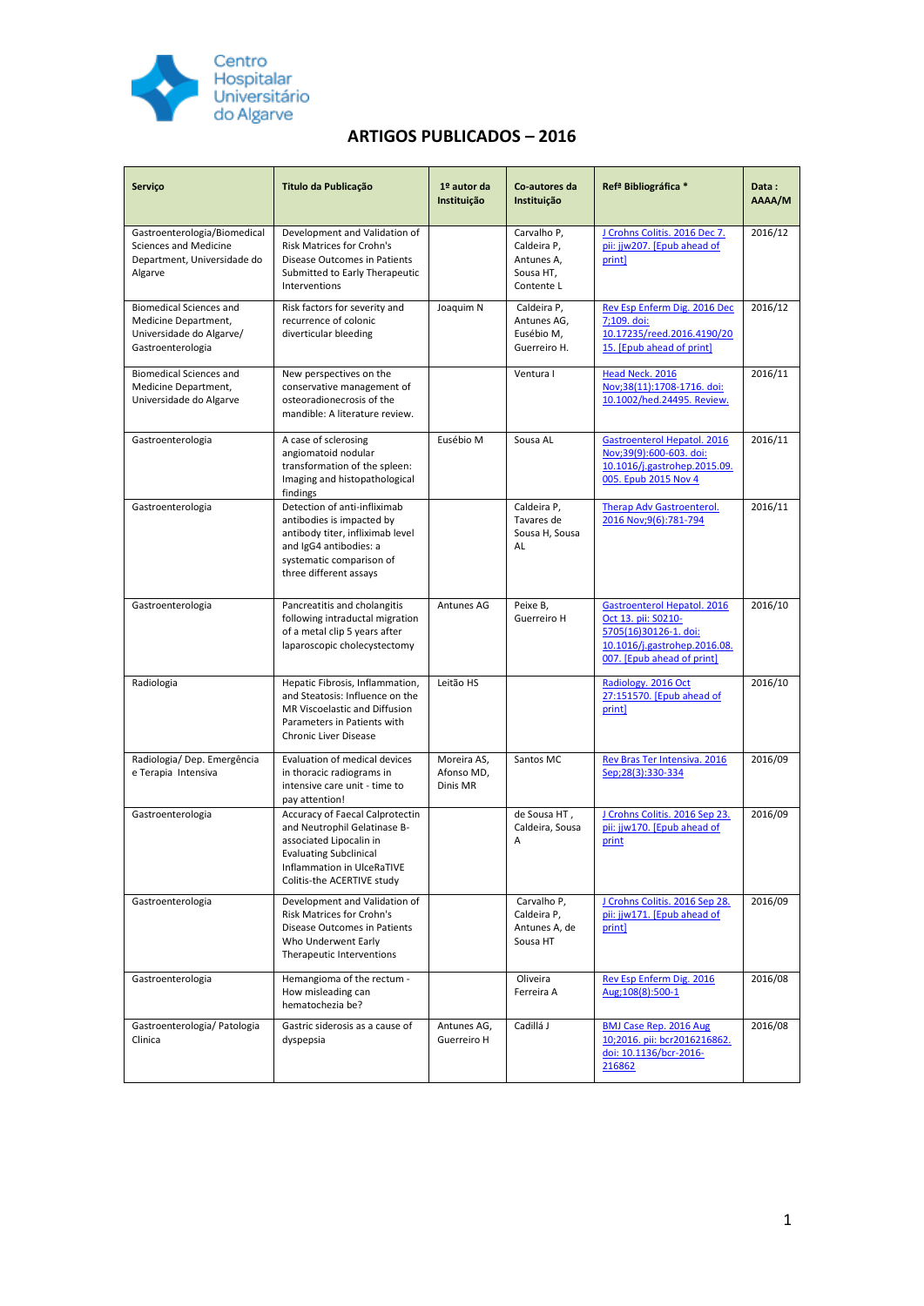

## **ARTIGOS PUBLICADOS – 2016**

| Serviço                                                                                                 | Titulo da Publicação                                                                                                                                                                    | 1º autor da<br>Instituição            | Co-autores da<br>Instituição                                        | Ref <sup>a</sup> Bibliográfica *                                                                                                          | Data:<br>AAAA/M |
|---------------------------------------------------------------------------------------------------------|-----------------------------------------------------------------------------------------------------------------------------------------------------------------------------------------|---------------------------------------|---------------------------------------------------------------------|-------------------------------------------------------------------------------------------------------------------------------------------|-----------------|
| Gastroenterologia/Biomedical<br><b>Sciences and Medicine</b><br>Department, Universidade do<br>Algarve  | Development and Validation of<br><b>Risk Matrices for Crohn's</b><br>Disease Outcomes in Patients<br>Submitted to Early Therapeutic<br>Interventions                                    |                                       | Carvalho P,<br>Caldeira P,<br>Antunes A,<br>Sousa HT,<br>Contente L | J Crohns Colitis. 2016 Dec 7.<br>pii: jjw207. [Epub ahead of<br>print]                                                                    | 2016/12         |
| <b>Biomedical Sciences and</b><br>Medicine Department,<br>Universidade do Algarve/<br>Gastroenterologia | Risk factors for severity and<br>recurrence of colonic<br>diverticular bleeding                                                                                                         | Joaquim N                             | Caldeira P,<br>Antunes AG,<br>Eusébio M,<br>Guerreiro H.            | Rev Esp Enferm Dig. 2016 Dec<br>7;109. doi:<br>10.17235/reed.2016.4190/20<br>15. [Epub ahead of print]                                    | 2016/12         |
| <b>Biomedical Sciences and</b><br>Medicine Department,<br>Universidade do Algarve                       | New perspectives on the<br>conservative management of<br>osteoradionecrosis of the<br>mandible: A literature review.                                                                    |                                       | Ventura I                                                           | Head Neck. 2016<br>Nov;38(11):1708-1716. doi:<br>10.1002/hed.24495. Review.                                                               | 2016/11         |
| Gastroenterologia                                                                                       | A case of sclerosing<br>angiomatoid nodular<br>transformation of the spleen:<br>Imaging and histopathological<br>findings                                                               | Eusébio M                             | Sousa AL                                                            | Gastroenterol Hepatol. 2016<br>Nov;39(9):600-603. doi:<br>10.1016/j.gastrohep.2015.09.<br>005. Epub 2015 Nov 4                            | 2016/11         |
| Gastroenterologia                                                                                       | Detection of anti-infliximab<br>antibodies is impacted by<br>antibody titer, infliximab level<br>and IgG4 antibodies: a<br>systematic comparison of<br>three different assays           |                                       | Caldeira P,<br>Tavares de<br>Sousa H, Sousa<br>AL                   | <b>Therap Adv Gastroenterol.</b><br>2016 Nov; 9(6): 781-794                                                                               | 2016/11         |
| Gastroenterologia                                                                                       | Pancreatitis and cholangitis<br>following intraductal migration<br>of a metal clip 5 years after<br>laparoscopic cholecystectomy                                                        | Antunes AG                            | Peixe B,<br>Guerreiro H                                             | Gastroenterol Hepatol, 2016<br>Oct 13. pii: S0210-<br>5705(16)30126-1. doi:<br>10.1016/j.gastrohep.2016.08.<br>007. [Epub ahead of print] | 2016/10         |
| Radiologia                                                                                              | Hepatic Fibrosis, Inflammation,<br>and Steatosis: Influence on the<br>MR Viscoelastic and Diffusion<br>Parameters in Patients with<br>Chronic Liver Disease                             | Leitão HS                             |                                                                     | Radiology. 2016 Oct<br>27:151570. [Epub ahead of<br>print]                                                                                | 2016/10         |
| Radiologia/Dep. Emergência<br>e Terapia Intensiva                                                       | Evaluation of medical devices<br>in thoracic radiograms in<br>intensive care unit - time to<br>pay attention!                                                                           | Moreira AS,<br>Afonso MD,<br>Dinis MR | Santos MC                                                           | Rev Bras Ter Intensiva. 2016<br>Sep;28(3):330-334                                                                                         | 2016/09         |
| Gastroenterologia                                                                                       | Accuracy of Faecal Calprotectin<br>and Neutrophil Gelatinase B-<br>associated Lipocalin in<br><b>Evaluating Subclinical</b><br>Inflammation in UlceRaTIVE<br>Colitis-the ACERTIVE study |                                       | de Sousa HT,<br>Caldeira, Sousa<br>A                                | J Crohns Colitis. 2016 Sep 23.<br>pii: jjw170. [Epub ahead of<br>print                                                                    | 2016/09         |
| Gastroenterologia                                                                                       | Development and Validation of<br>Risk Matrices for Crohn's<br>Disease Outcomes in Patients<br>Who Underwent Early<br>Therapeutic Interventions                                          |                                       | Carvalho P,<br>Caldeira P,<br>Antunes A, de<br>Sousa HT             | J Crohns Colitis. 2016 Sep 28.<br>pii: jjw171. [Epub ahead of<br>print]                                                                   | 2016/09         |
| Gastroenterologia                                                                                       | Hemangioma of the rectum -<br>How misleading can<br>hematochezia be?                                                                                                                    |                                       | Oliveira<br>Ferreira A                                              | Rev Esp Enferm Dig. 2016<br>Aug;108(8):500-1                                                                                              | 2016/08         |
| Gastroenterologia/ Patologia<br>Clinica                                                                 | Gastric siderosis as a cause of<br>dyspepsia                                                                                                                                            | Antunes AG,<br>Guerreiro H            | Cadillá J                                                           | <b>BMJ Case Rep. 2016 Aug</b><br>10;2016. pii: bcr2016216862.<br>doi: 10.1136/bcr-2016-<br>216862                                         | 2016/08         |